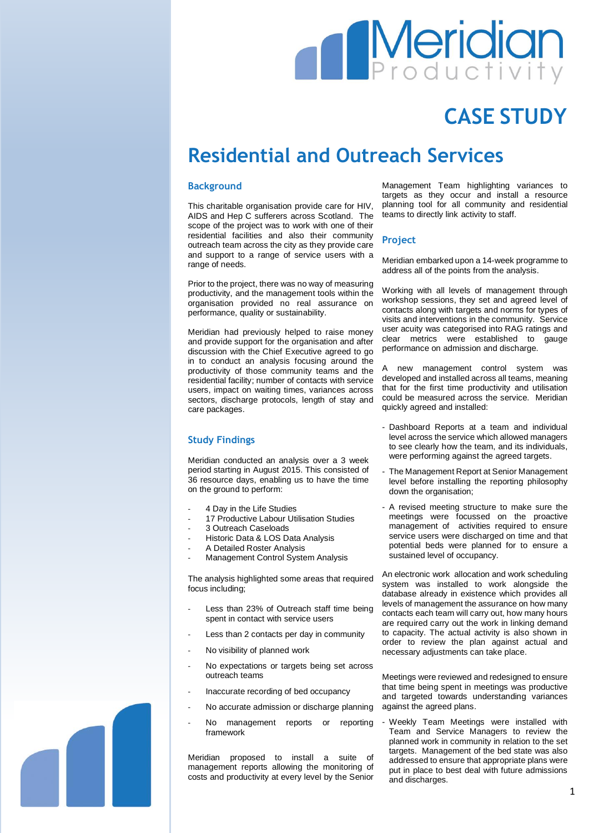# **Meridian**

## **CASE STUDY**

### **Residential and Outreach Services**

#### **Background**

This charitable organisation provide care for HIV, AIDS and Hep C sufferers across Scotland. The scope of the project was to work with one of their residential facilities and also their community outreach team across the city as they provide care and support to a range of service users with a range of needs.

Prior to the project, there was no way of measuring productivity, and the management tools within the organisation provided no real assurance on performance, quality or sustainability.

Meridian had previously helped to raise money and provide support for the organisation and after discussion with the Chief Executive agreed to go in to conduct an analysis focusing around the productivity of those community teams and the residential facility; number of contacts with service users, impact on waiting times, variances across sectors, discharge protocols, length of stay and care packages.

#### **Study Findings**

Meridian conducted an analysis over a 3 week period starting in August 2015. This consisted of 36 resource days, enabling us to have the time on the ground to perform:

- 4 Day in the Life Studies
- 17 Productive Labour Utilisation Studies
- 3 Outreach Caseloads
- Historic Data & LOS Data Analysis
- A Detailed Roster Analysis
- Management Control System Analysis

The analysis highlighted some areas that required focus including;

- Less than 23% of Outreach staff time being spent in contact with service users
- Less than 2 contacts per day in community
- No visibility of planned work
- No expectations or targets being set across outreach teams
- Inaccurate recording of bed occupancy
- No accurate admission or discharge planning No management reports or reporting framework

Meridian proposed to install a suite of management reports allowing the monitoring of costs and productivity at every level by the Senior Management Team highlighting variances to targets as they occur and install a resource planning tool for all community and residential teams to directly link activity to staff.

#### **Project**

Meridian embarked upon a 14-week programme to address all of the points from the analysis.

Working with all levels of management through workshop sessions, they set and agreed level of contacts along with targets and norms for types of visits and interventions in the community. Service user acuity was categorised into RAG ratings and clear metrics were established to gauge performance on admission and discharge.

new management control system was developed and installed across all teams, meaning that for the first time productivity and utilisation could be measured across the service. Meridian quickly agreed and installed:

- Dashboard Reports at a team and individual level across the service which allowed managers to see clearly how the team, and its individuals, were performing against the agreed targets.
- The Management Report at Senior Management level before installing the reporting philosophy down the organisation;
- A revised meeting structure to make sure the meetings were focussed on the proactive management of activities required to ensure service users were discharged on time and that potential beds were planned for to ensure a sustained level of occupancy.

An electronic work allocation and work scheduling system was installed to work alongside the database already in existence which provides all levels of management the assurance on how many contacts each team will carry out, how many hours are required carry out the work in linking demand to capacity. The actual activity is also shown in order to review the plan against actual and necessary adjustments can take place.

Meetings were reviewed and redesigned to ensure that time being spent in meetings was productive and targeted towards understanding variances against the agreed plans.

- Weekly Team Meetings were installed with Team and Service Managers to review the planned work in community in relation to the set targets. Management of the bed state was also addressed to ensure that appropriate plans were put in place to best deal with future admissions and discharges.

1